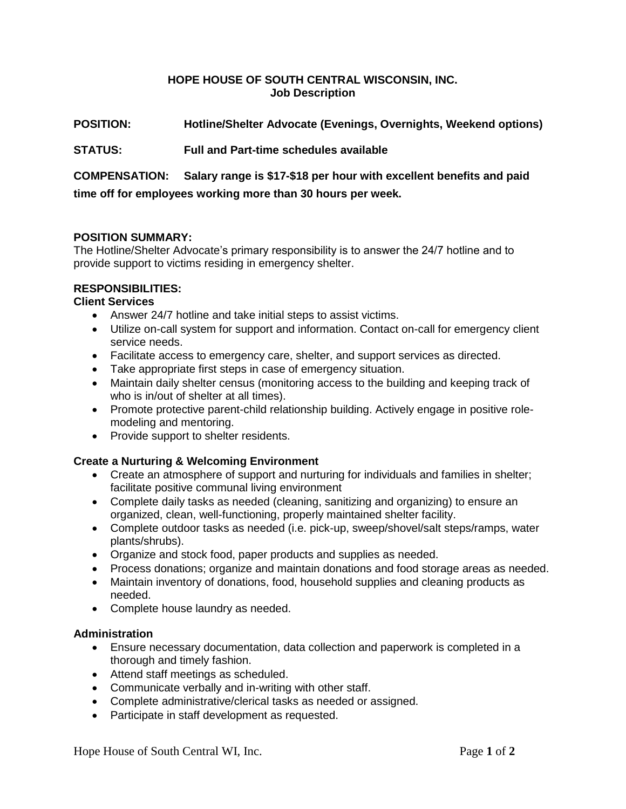## **HOPE HOUSE OF SOUTH CENTRAL WISCONSIN, INC. Job Description**

# **POSITION: Hotline/Shelter Advocate (Evenings, Overnights, Weekend options)**

## **STATUS: Full and Part-time schedules available**

**COMPENSATION: Salary range is \$17-\$18 per hour with excellent benefits and paid time off for employees working more than 30 hours per week.** 

#### **POSITION SUMMARY:**

The Hotline/Shelter Advocate's primary responsibility is to answer the 24/7 hotline and to provide support to victims residing in emergency shelter.

## **RESPONSIBILITIES:**

#### **Client Services**

- Answer 24/7 hotline and take initial steps to assist victims.
- Utilize on-call system for support and information. Contact on-call for emergency client service needs.
- Facilitate access to emergency care, shelter, and support services as directed.
- Take appropriate first steps in case of emergency situation.
- Maintain daily shelter census (monitoring access to the building and keeping track of who is in/out of shelter at all times).
- Promote protective parent-child relationship building. Actively engage in positive rolemodeling and mentoring.
- Provide support to shelter residents.

#### **Create a Nurturing & Welcoming Environment**

- Create an atmosphere of support and nurturing for individuals and families in shelter; facilitate positive communal living environment
- Complete daily tasks as needed (cleaning, sanitizing and organizing) to ensure an organized, clean, well-functioning, properly maintained shelter facility.
- Complete outdoor tasks as needed (i.e. pick-up, sweep/shovel/salt steps/ramps, water plants/shrubs).
- Organize and stock food, paper products and supplies as needed.
- Process donations; organize and maintain donations and food storage areas as needed.
- Maintain inventory of donations, food, household supplies and cleaning products as needed.
- Complete house laundry as needed.

#### **Administration**

- Ensure necessary documentation, data collection and paperwork is completed in a thorough and timely fashion.
- Attend staff meetings as scheduled.
- Communicate verbally and in-writing with other staff.
- Complete administrative/clerical tasks as needed or assigned.
- Participate in staff development as requested.